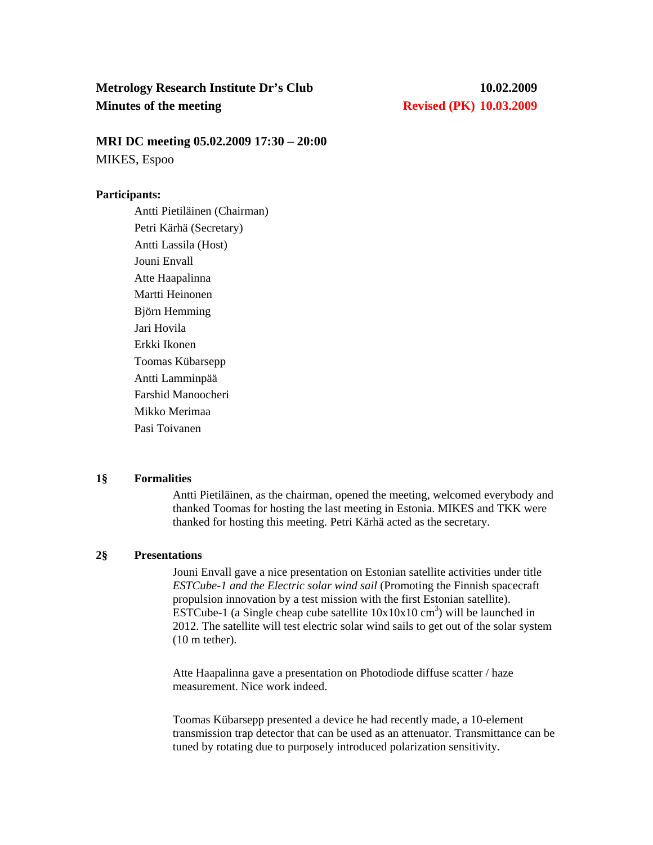# **Metrology Research Institute Dr's Club 10.02.2009 Minutes of the meeting Revised (PK) 10.03.2009**

**MRI DC meeting 05.02.2009 17:30 – 20:00** 

MIKES, Espoo

## **Participants:**

Antti Pietiläinen (Chairman) Petri Kärhä (Secretary) Antti Lassila (Host) Jouni Envall Atte Haapalinna Martti Heinonen Björn Hemming Jari Hovila Erkki Ikonen Toomas Kübarsepp Antti Lamminpää Farshid Manoocheri Mikko Merimaa Pasi Toivanen

## **1§ Formalities**

Antti Pietiläinen, as the chairman, opened the meeting, welcomed everybody and thanked Toomas for hosting the last meeting in Estonia. MIKES and TKK were thanked for hosting this meeting. Petri Kärhä acted as the secretary.

## **2§ Presentations**

Jouni Envall gave a nice presentation on Estonian satellite activities under title *ESTCube-1 and the Electric solar wind sail* (Promoting the Finnish spacecraft propulsion innovation by a test mission with the first Estonian satellite).  $\overline{ESTCube-1}$  (a Single cheap cube satellite  $10x10x10$  cm<sup>3</sup>) will be launched in 2012. The satellite will test electric solar wind sails to get out of the solar system (10 m tether).

Atte Haapalinna gave a presentation on Photodiode diffuse scatter / haze measurement. Nice work indeed.

Toomas Kübarsepp presented a device he had recently made, a 10-element transmission trap detector that can be used as an attenuator. Transmittance can be tuned by rotating due to purposely introduced polarization sensitivity.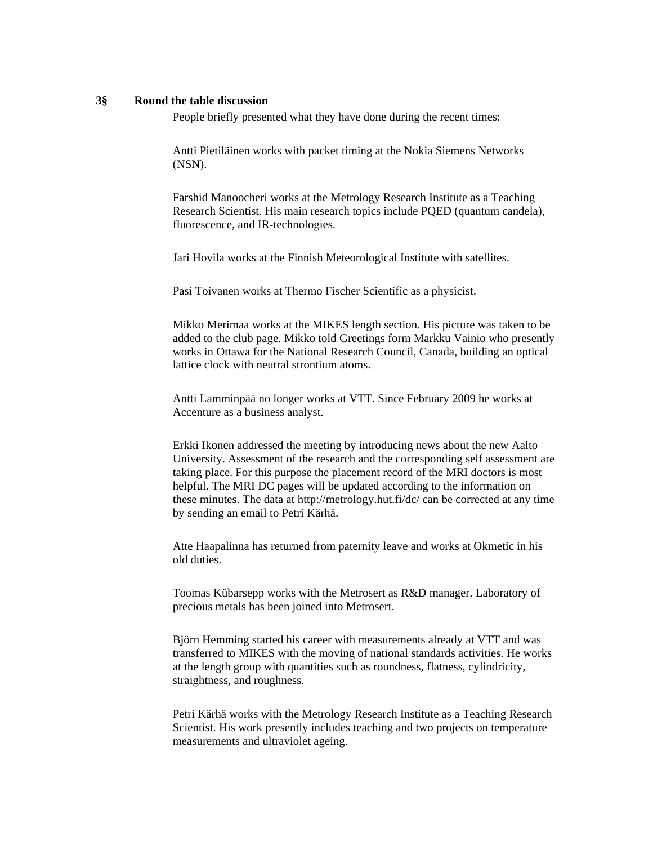#### **3§ Round the table discussion**

People briefly presented what they have done during the recent times:

Antti Pietiläinen works with packet timing at the Nokia Siemens Networks (NSN).

Farshid Manoocheri works at the Metrology Research Institute as a Teaching Research Scientist. His main research topics include PQED (quantum candela), fluorescence, and IR-technologies.

Jari Hovila works at the Finnish Meteorological Institute with satellites.

Pasi Toivanen works at Thermo Fischer Scientific as a physicist.

Mikko Merimaa works at the MIKES length section. His picture was taken to be added to the club page. Mikko told Greetings form Markku Vainio who presently works in Ottawa for the National Research Council, Canada, building an optical lattice clock with neutral strontium atoms.

Antti Lamminpää no longer works at VTT. Since February 2009 he works at Accenture as a business analyst.

Erkki Ikonen addressed the meeting by introducing news about the new Aalto University. Assessment of the research and the corresponding self assessment are taking place. For this purpose the placement record of the MRI doctors is most helpful. The MRI DC pages will be updated according to the information on these minutes. The data at http://metrology.hut.fi/dc/ can be corrected at any time by sending an email to Petri Kärhä.

Atte Haapalinna has returned from paternity leave and works at Okmetic in his old duties.

Toomas Kübarsepp works with the Metrosert as R&D manager. Laboratory of precious metals has been joined into Metrosert.

Björn Hemming started his career with measurements already at VTT and was transferred to MIKES with the moving of national standards activities. He works at the length group with quantities such as roundness, flatness, cylindricity, straightness, and roughness.

Petri Kärhä works with the Metrology Research Institute as a Teaching Research Scientist. His work presently includes teaching and two projects on temperature measurements and ultraviolet ageing.